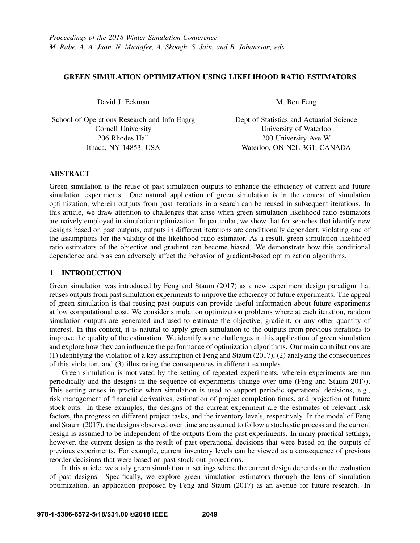## GREEN SIMULATION OPTIMIZATION USING LIKELIHOOD RATIO ESTIMATORS

David J. Eckman

School of Operations Research and Info Engrg Cornell University 206 Rhodes Hall Ithaca, NY 14853, USA

M. Ben Feng

Dept of Statistics and Actuarial Science University of Waterloo 200 University Ave W Waterloo, ON N2L 3G1, CANADA

# ABSTRACT

Green simulation is the reuse of past simulation outputs to enhance the efficiency of current and future simulation experiments. One natural application of green simulation is in the context of simulation optimization, wherein outputs from past iterations in a search can be reused in subsequent iterations. In this article, we draw attention to challenges that arise when green simulation likelihood ratio estimators are naively employed in simulation optimization. In particular, we show that for searches that identify new designs based on past outputs, outputs in different iterations are conditionally dependent, violating one of the assumptions for the validity of the likelihood ratio estimator. As a result, green simulation likelihood ratio estimators of the objective and gradient can become biased. We demonstrate how this conditional dependence and bias can adversely affect the behavior of gradient-based optimization algorithms.

# 1 INTRODUCTION

Green simulation was introduced by Feng and Staum (2017) as a new experiment design paradigm that reuses outputs from past simulation experiments to improve the efficiency of future experiments. The appeal of green simulation is that reusing past outputs can provide useful information about future experiments at low computational cost. We consider simulation optimization problems where at each iteration, random simulation outputs are generated and used to estimate the objective, gradient, or any other quantity of interest. In this context, it is natural to apply green simulation to the outputs from previous iterations to improve the quality of the estimation. We identify some challenges in this application of green simulation and explore how they can influence the performance of optimization algorithms. Our main contributions are (1) identifying the violation of a key assumption of Feng and Staum (2017), (2) analyzing the consequences of this violation, and (3) illustrating the consequences in different examples.

Green simulation is motivated by the setting of repeated experiments, wherein experiments are run periodically and the designs in the sequence of experiments change over time (Feng and Staum 2017). This setting arises in practice when simulation is used to support periodic operational decisions, e.g., risk management of financial derivatives, estimation of project completion times, and projection of future stock-outs. In these examples, the designs of the current experiment are the estimates of relevant risk factors, the progress on different project tasks, and the inventory levels, respectively. In the model of Feng and Staum (2017), the designs observed over time are assumed to follow a stochastic process and the current design is assumed to be independent of the outputs from the past experiments. In many practical settings, however, the current design is the result of past operational decisions that were based on the outputs of previous experiments. For example, current inventory levels can be viewed as a consequence of previous reorder decisions that were based on past stock-out projections.

In this article, we study green simulation in settings where the current design depends on the evaluation of past designs. Specifically, we explore green simulation estimators through the lens of simulation optimization, an application proposed by Feng and Staum (2017) as an avenue for future research. In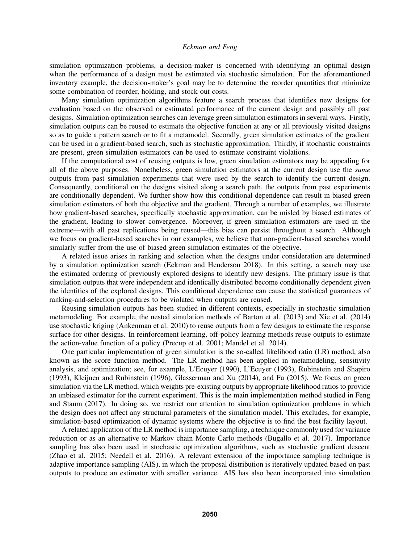simulation optimization problems, a decision-maker is concerned with identifying an optimal design when the performance of a design must be estimated via stochastic simulation. For the aforementioned inventory example, the decision-maker's goal may be to determine the reorder quantities that minimize some combination of reorder, holding, and stock-out costs.

Many simulation optimization algorithms feature a search process that identifies new designs for evaluation based on the observed or estimated performance of the current design and possibly all past designs. Simulation optimization searches can leverage green simulation estimators in several ways. Firstly, simulation outputs can be reused to estimate the objective function at any or all previously visited designs so as to guide a pattern search or to fit a metamodel. Secondly, green simulation estimates of the gradient can be used in a gradient-based search, such as stochastic approximation. Thirdly, if stochastic constraints are present, green simulation estimators can be used to estimate constraint violations.

If the computational cost of reusing outputs is low, green simulation estimators may be appealing for all of the above purposes. Nonetheless, green simulation estimators at the current design use the *same* outputs from past simulation experiments that were used by the search to identify the current design. Consequently, conditional on the designs visited along a search path, the outputs from past experiments are conditionally dependent. We further show how this conditional dependence can result in biased green simulation estimators of both the objective and the gradient. Through a number of examples, we illustrate how gradient-based searches, specifically stochastic approximation, can be misled by biased estimates of the gradient, leading to slower convergence. Moreover, if green simulation estimators are used in the extreme—with all past replications being reused—this bias can persist throughout a search. Although we focus on gradient-based searches in our examples, we believe that non-gradient-based searches would similarly suffer from the use of biased green simulation estimates of the objective.

A related issue arises in ranking and selection when the designs under consideration are determined by a simulation optimization search (Eckman and Henderson 2018). In this setting, a search may use the estimated ordering of previously explored designs to identify new designs. The primary issue is that simulation outputs that were independent and identically distributed become conditionally dependent given the identities of the explored designs. This conditional dependence can cause the statistical guarantees of ranking-and-selection procedures to be violated when outputs are reused.

Reusing simulation outputs has been studied in different contexts, especially in stochastic simulation metamodeling. For example, the nested simulation methods of Barton et al. (2013) and Xie et al. (2014) use stochastic kriging (Ankenman et al. 2010) to reuse outputs from a few designs to estimate the response surface for other designs. In reinforcement learning, off-policy learning methods reuse outputs to estimate the action-value function of a policy (Precup et al. 2001; Mandel et al. 2014).

One particular implementation of green simulation is the so-called likelihood ratio (LR) method, also known as the score function method. The LR method has been applied in metamodeling, sensitivity analysis, and optimization; see, for example, L'Ecuyer (1990), L'Ecuyer (1993), Rubinstein and Shapiro (1993), Kleijnen and Rubinstein (1996), Glasserman and Xu (2014), and Fu (2015). We focus on green simulation via the LR method, which weights pre-existing outputs by appropriate likelihood ratios to provide an unbiased estimator for the current experiment. This is the main implementation method studied in Feng and Staum (2017). In doing so, we restrict our attention to simulation optimization problems in which the design does not affect any structural parameters of the simulation model. This excludes, for example, simulation-based optimization of dynamic systems where the objective is to find the best facility layout.

A related application of the LR method is importance sampling, a technique commonly used for variance reduction or as an alternative to Markov chain Monte Carlo methods (Bugallo et al. 2017). Importance sampling has also been used in stochastic optimization algorithms, such as stochastic gradient descent (Zhao et al. 2015; Needell et al. 2016). A relevant extension of the importance sampling technique is adaptive importance sampling (AIS), in which the proposal distribution is iteratively updated based on past outputs to produce an estimator with smaller variance. AIS has also been incorporated into simulation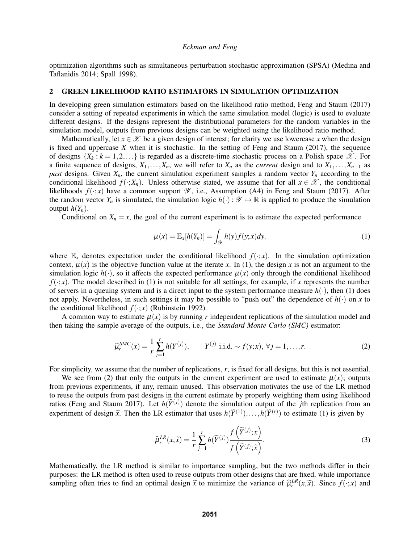optimization algorithms such as simultaneous perturbation stochastic approximation (SPSA) (Medina and Taflanidis 2014; Spall 1998).

## 2 GREEN LIKELIHOOD RATIO ESTIMATORS IN SIMULATION OPTIMIZATION

In developing green simulation estimators based on the likelihood ratio method, Feng and Staum (2017) consider a setting of repeated experiments in which the same simulation model (logic) is used to evaluate different designs. If the designs represent the distributional parameters for the random variables in the simulation model, outputs from previous designs can be weighted using the likelihood ratio method.

Mathematically, let  $x \in \mathcal{X}$  be a given design of interest; for clarity we use lowercase x when the design is fixed and uppercase  $X$  when it is stochastic. In the setting of Feng and Staum (2017), the sequence of designs  $\{X_k : k = 1, 2, ...\}$  is regarded as a discrete-time stochastic process on a Polish space  $\mathscr{X}$ . For a finite sequence of designs,  $X_1, \ldots, X_n$ , we will refer to  $X_n$  as the *current* design and to  $X_1, \ldots, X_{n-1}$  as *past* designs. Given  $X_n$ , the current simulation experiment samples a random vector  $Y_n$  according to the conditional likelihood  $f(\cdot; X_n)$ . Unless otherwise stated, we assume that for all  $x \in \mathcal{X}$ , the conditional likelihoods  $f(\cdot; x)$  have a common support  $\mathscr Y$ , i.e., Assumption (A4) in Feng and Staum (2017). After the random vector  $Y_n$  is simulated, the simulation logic  $h(\cdot): \mathscr{Y} \mapsto \mathbb{R}$  is applied to produce the simulation output  $h(Y_n)$ .

Conditional on  $X_n = x$ , the goal of the current experiment is to estimate the expected performance

$$
\mu(x) = \mathbb{E}_x[h(Y_n)] = \int_{\mathcal{Y}} h(y)f(y;x)dy,
$$
\n(1)

where  $\mathbb{E}_x$  denotes expectation under the conditional likelihood  $f(\cdot; x)$ . In the simulation optimization context,  $\mu(x)$  is the objective function value at the iterate *x*. In (1), the design *x* is not an argument to the simulation logic  $h(\cdot)$ , so it affects the expected performance  $\mu(x)$  only through the conditional likelihood  $f(\cdot; x)$ . The model described in (1) is not suitable for all settings; for example, if *x* represents the number of servers in a queuing system and is a direct input to the system performance measure  $h(\cdot)$ , then (1) does not apply. Nevertheless, in such settings it may be possible to "push out" the dependence of  $h(\cdot)$  on *x* to the conditional likelihood  $f(\cdot; x)$  (Rubinstein 1992).

A common way to estimate  $\mu(x)$  is by running r independent replications of the simulation model and then taking the sample average of the outputs, i.e., the *Standard Monte Carlo (SMC)* estimator:

$$
\widehat{\mu}_r^{SMC}(x) = \frac{1}{r} \sum_{j=1}^r h(Y^{(j)}), \qquad Y^{(j)} \text{ i.i.d.} \sim f(y; x), \ \forall j = 1, \dots, r. \tag{2}
$$

For simplicity, we assume that the number of replications, *r*, is fixed for all designs, but this is not essential.

We see from (2) that only the outputs in the current experiment are used to estimate  $\mu(x)$ ; outputs from previous experiments, if any, remain unused. This observation motivates the use of the LR method to reuse the outputs from past designs in the current estimate by properly weighting them using likelihood ratios (Feng and Staum 2017). Let  $h(\widetilde{Y}^{(j)})$  denote the simulation output of the *j*th replication from an experiment of design  $\tilde{x}$ . Then the LR estimator that uses  $h(\tilde{Y}^{(1)}),...,h(\tilde{Y}^{(r)})$  to estimate (1) is given by

$$
\widehat{\mu}_r^{LR}(x,\widetilde{x}) = \frac{1}{r} \sum_{j=1}^r h(\widetilde{Y}^{(j)}) \frac{f(\widetilde{Y}^{(j)};x)}{f(\widetilde{Y}^{(j)};\widetilde{x})}.
$$
\n(3)

Mathematically, the LR method is similar to importance sampling, but the two methods differ in their purposes: the LR method is often used to reuse outputs from other designs that are fixed, while importance sampling often tries to find an optimal design  $\tilde{x}$  to minimize the variance of  $\hat{\mu}_r^{LR}(x,\tilde{x})$ . Since  $f(\cdot;x)$  and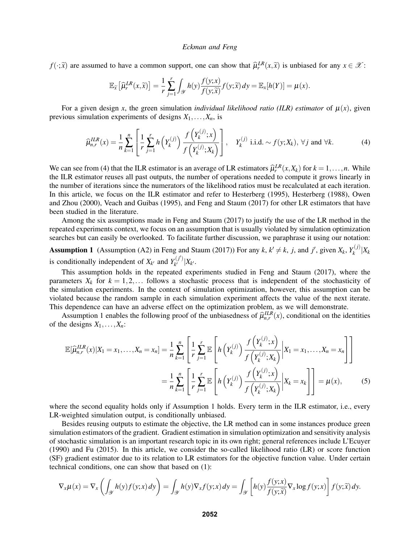*f*( $\cdot$ ;  $\tilde{x}$ ) are assumed to have a common support, one can show that  $\hat{\mu}_r^{LR}(x,\tilde{x})$  is unbiased for any  $x \in \mathcal{X}$ :

$$
\mathbb{E}_{\widetilde{x}}\left[\widehat{\mu}_{r}^{LR}(x,\widetilde{x})\right] = \frac{1}{r}\sum_{j=1}^{r} \int_{\mathscr{Y}} h(y) \frac{f(y;x)}{f(y;\widetilde{x})} f(y;\widetilde{x}) dy = \mathbb{E}_{x}[h(Y)] = \mu(x).
$$

For a given design x, the green simulation *individual likelihood ratio* (ILR) estimator of  $\mu(x)$ , given previous simulation experiments of designs  $X_1, \ldots, X_n$ , is

$$
\widehat{\mu}_{n,r}^{ILR}(x) = \frac{1}{n} \sum_{k=1}^{n} \left[ \frac{1}{r} \sum_{j=1}^{r} h\left(Y_k^{(j)}\right) \frac{f\left(Y_k^{(j)}; x\right)}{f\left(Y_k^{(j)}; X_k\right)} \right], \quad Y_k^{(j)} \text{ i.i.d.} \sim f(y; X_k), \forall j \text{ and } \forall k. \tag{4}
$$

We can see from (4) that the ILR estimator is an average of LR estimators  $\hat{\mu}_r^L R(x, X_k)$  for  $k = 1, \ldots, n$ . While the ILR estimator reuses all past outputs, the number of operations needed to compute it grows linearly in the number of iterations since the numerators of the likelihood ratios must be recalculated at each iteration. In this article, we focus on the ILR estimator and refer to Hesterberg (1995), Hesterberg (1988), Owen and Zhou (2000), Veach and Guibas (1995), and Feng and Staum (2017) for other LR estimators that have been studied in the literature.

Among the six assumptions made in Feng and Staum (2017) to justify the use of the LR method in the repeated experiments context, we focus on an assumption that is usually violated by simulation optimization searches but can easily be overlooked. To facilitate further discussion, we paraphrase it using our notation:

Assumption 1 (Assumption (A2) in Feng and Staum (2017)) For any  $k, k' \neq k$ , *j*, and *j'*, given  $X_k, Y_k^{(j)}$  $\binom{J}{k}$ <sup> $X_k$ </sup> is conditionally independent of  $X_{k'}$  and  $Y_{k'}^{(j')}$  $\int_{k'}^{(J)} |X_{k'}|$ 

This assumption holds in the repeated experiments studied in Feng and Staum (2017), where the parameters  $X_k$  for  $k = 1, 2, \ldots$  follows a stochastic process that is independent of the stochasticity of the simulation experiments. In the context of simulation optimization, however, this assumption can be violated because the random sample in each simulation experiment affects the value of the next iterate. This dependence can have an adverse effect on the optimization problem, as we will demonstrate.

Assumption 1 enables the following proof of the unbiasedness of  $\hat{\mu}_{n,r}^{ILR}(x)$ , conditional on the identities as designs  $Y_n$ . of the designs  $X_1, \ldots, X_n$ :

$$
\mathbb{E}[\widehat{\mu}_{n,r}^{ILR}(x)|X_1 = x_1, ..., X_n = x_n] = \frac{1}{n} \sum_{k=1}^n \left[ \frac{1}{r} \sum_{j=1}^r \mathbb{E} \left[ h\left(Y_k^{(j)}\right) \frac{f\left(Y_k^{(j)}; x\right)}{f\left(Y_k^{(j)}; X_k\right)} \middle| X_1 = x_1, ..., X_n = x_n \right] \right]
$$

$$
= \frac{1}{n} \sum_{k=1}^n \left[ \frac{1}{r} \sum_{j=1}^r \mathbb{E} \left[ h\left(Y_k^{(j)}\right) \frac{f\left(Y_k^{(j)}; x\right)}{f\left(Y_k^{(j)}; X_k\right)} \middle| X_k = x_k \right] \right] = \mu(x), \tag{5}
$$

where the second equality holds only if Assumption 1 holds. Every term in the ILR estimator, i.e., every LR-weighted simulation output, is conditionally unbiased.

Besides reusing outputs to estimate the objective, the LR method can in some instances produce green simulation estimators of the gradient. Gradient estimation in simulation optimization and sensitivity analysis of stochastic simulation is an important research topic in its own right; general references include L'Ecuyer (1990) and Fu (2015). In this article, we consider the so-called likelihood ratio (LR) or score function (SF) gradient estimator due to its relation to LR estimators for the objective function value. Under certain technical conditions, one can show that based on (1):

$$
\nabla_x \mu(x) = \nabla_x \left( \int_{\mathcal{Y}} h(y) f(y; x) \, dy \right) = \int_{\mathcal{Y}} h(y) \nabla_x f(y; x) \, dy = \int_{\mathcal{Y}} \left[ h(y) \frac{f(y; x)}{f(y; \tilde{x})} \nabla_x \log f(y; x) \right] f(y; \tilde{x}) \, dy.
$$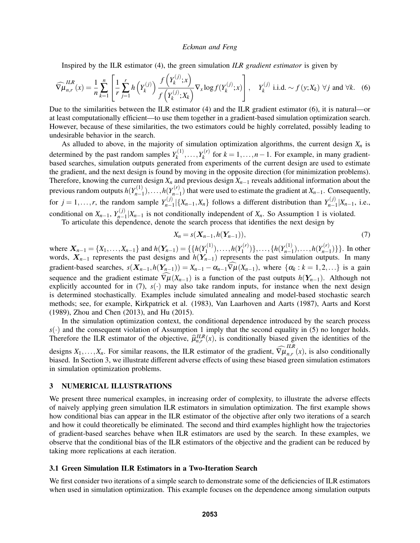Inspired by the ILR estimator (4), the green simulation *ILR gradient estimator* is given by

$$
\widehat{\nabla \mu}_{n,r}^{ILR}(x) = \frac{1}{n} \sum_{k=1}^{n} \left[ \frac{1}{r} \sum_{j=1}^{r} h\left(Y_k^{(j)}\right) \frac{f\left(Y_k^{(j)}; x\right)}{f\left(Y_k^{(j)}; X_k\right)} \nabla_x \log f(Y_k^{(j)}; x) \right], \quad Y_k^{(j)} \text{ i.i.d.} \sim f(y; X_k) \ \forall j \text{ and } \forall k. \quad (6)
$$

Due to the similarities between the ILR estimator (4) and the ILR gradient estimator (6), it is natural—or at least computationally efficient—to use them together in a gradient-based simulation optimization search. However, because of these similarities, the two estimators could be highly correlated, possibly leading to undesirable behavior in the search.

As alluded to above, in the majority of simulation optimization algorithms, the current design  $X_n$  is determined by the past random samples  $Y_k^{(1)}$  $X_k^{(1)}, \ldots, Y_k^{(r)}$  $f_k^{(r)}$  for  $k = 1, ..., n - 1$ . For example, in many gradientbased searches, simulation outputs generated from experiments of the current design are used to estimate the gradient, and the next design is found by moving in the opposite direction (for minimization problems). Therefore, knowing the current design  $X_n$  and previous design  $X_{n-1}$  reveals additional information about the previous random outputs  $h(Y_{n-1}^{(1)})$  $h_{n-1}^{(1)}$ ),...,*h*(*Y*<sub>n-1</sub>) *n*−1 ) that were used to estimate the gradient at *Xn*−1. Consequently, for  $j = 1, \ldots, r$ , the random sample  $Y_{n-1}^{(j)}$  $\binom{f(j)}{n-1}$  {*X*<sub>*n*−1</sub>,*X<sub>n</sub>*} follows a different distribution than *Y*<sub>*n*−1</sub>  $\prod_{n=1}^{(J)} |X_{n-1}, \text{ i.e.,}$ conditional on  $X_{n-1}$ ,  $Y_{n-1}^{(j)}$  $\sum_{n=1}^{N} |X_{n-1}|$  is not conditionally independent of  $X_n$ . So Assumption 1 is violated.

To articulate this dependence, denote the search process that identifies the next design by

$$
X_n = s(\mathbf{X}_{n-1}, h(\mathbf{Y}_{n-1})), \tag{7}
$$

where  $X_{n-1} = \{X_1, \ldots, X_{n-1}\}\$  and  $h(Y_{n-1}) = \{\{h(Y_1^{(1)})\}$  $\binom{1}{1}$ ,...,*h*( $Y_1^{(r)}$  $\{h(Y^{(1)}_{n-1})\},\ldots,\{h(Y^{(1)}_{n-1})\}$ *n*<sup>−1</sup></sup>,...,*h*(*Y*<sub>*n*<sup>−1</sup></sup>),...,*h*(*Y*<sub>*n*<sup>−1</sup>)</sub></sub>  $\binom{r}{n-1}$ } }. In other words, X*n*−<sup>1</sup> represents the past designs and *h*(Y*n*−1) represents the past simulation outputs. In many gradient-based searches,  $s(X_{n-1}, h(Y_{n-1})) = X_{n-1} - \alpha_{n-1} \widehat{\nabla \mu}(X_{n-1})$ , where  $\{\alpha_k : k = 1, 2, ...\}$  is a gain sequence and the gradient estimate  $\nabla \mu(X_{n-1})$  is a function of the past outputs  $h(Y_{n-1})$ . Although not explicitly accounted for in (7),  $s(·)$  may also take random inputs, for instance when the next design is determined stochastically. Examples include simulated annealing and model-based stochastic search methods; see, for example, Kirkpatrick et al. (1983), Van Laarhoven and Aarts (1987), Aarts and Korst (1989), Zhou and Chen (2013), and Hu (2015).

In the simulation optimization context, the conditional dependence introduced by the search process  $s(\cdot)$  and the consequent violation of Assumption 1 imply that the second equality in (5) no longer holds. Therefore the ILR estimator of the objective,  $\hat{\mu}_{n,r}^{ILR}(x)$ , is conditionally biased given the identities of the designs  $X_1, \ldots, X_n$ . For similar reasons, the ILR estimator of the gradient,  $\widehat{\nabla \mu}_{n,r}^{ILR}$  $\prod_{n,r} (x)$ , is also conditionally biased. In Section 3, we illustrate different adverse effects of using these biased green simulation estimators in simulation optimization problems.

## 3 NUMERICAL ILLUSTRATIONS

We present three numerical examples, in increasing order of complexity, to illustrate the adverse effects of naively applying green simulation ILR estimators in simulation optimization. The first example shows how conditional bias can appear in the ILR estimator of the objective after only two iterations of a search and how it could theoretically be eliminated. The second and third examples highlight how the trajectories of gradient-based searches behave when ILR estimators are used by the search. In these examples, we observe that the conditional bias of the ILR estimators of the objective and the gradient can be reduced by taking more replications at each iteration.

## 3.1 Green Simulation ILR Estimators in a Two-Iteration Search

We first consider two iterations of a simple search to demonstrate some of the deficiencies of ILR estimators when used in simulation optimization. This example focuses on the dependence among simulation outputs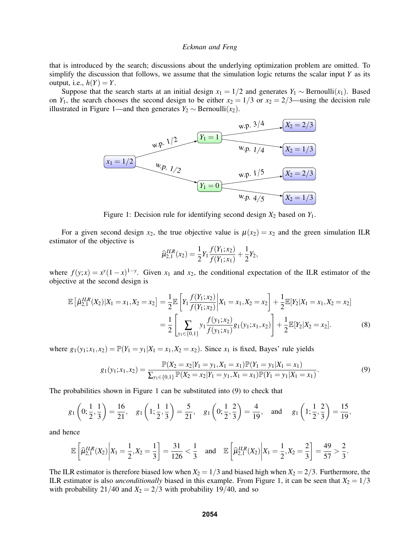that is introduced by the search; discussions about the underlying optimization problem are omitted. To simplify the discussion that follows, we assume that the simulation logic returns the scalar input *Y* as its output, i.e.,  $h(Y) = Y$ .

Suppose that the search starts at an initial design  $x_1 = 1/2$  and generates  $Y_1 \sim \text{Bernoulli}(x_1)$ . Based on *Y*<sub>1</sub>, the search chooses the second design to be either  $x_2 = 1/3$  or  $x_2 = 2/3$ —using the decision rule illustrated in Figure 1—and then generates  $Y_2$  ∼ Bernoulli $(x_2)$ .



Figure 1: Decision rule for identifying second design  $X_2$  based on  $Y_1$ .

For a given second design  $x_2$ , the true objective value is  $\mu(x_2) = x_2$  and the green simulation ILR estimator of the objective is

$$
\widehat{\mu}_{2,1}^{ILR}(x_2) = \frac{1}{2} Y_1 \frac{f(Y_1; x_2)}{f(Y_1; x_1)} + \frac{1}{2} Y_2,
$$

where  $f(y; x) = x^y(1-x)^{1-y}$ . Given  $x_1$  and  $x_2$ , the conditional expectation of the ILR estimator of the objective at the second design is

$$
\mathbb{E}\left[\hat{\mu}_{2,1}^{ILR}(X_2)|X_1=x_1,X_2=x_2\right] = \frac{1}{2}\mathbb{E}\left[Y_1\frac{f(Y_1;x_2)}{f(Y_1;x_2)}\bigg|X_1=x_1,X_2=x_2\right] + \frac{1}{2}\mathbb{E}[Y_2|X_1=x_1,X_2=x_2]
$$

$$
=\frac{1}{2}\left[\sum_{y_1\in\{0,1\}}y_1\frac{f(y_1;x_2)}{f(y_1;x_1)}g_1(y_1;x_1,x_2)\right] + \frac{1}{2}\mathbb{E}[Y_2|X_2=x_2].\tag{8}
$$

where  $g_1(y_1; x_1, x_2) = \mathbb{P}(Y_1 = y_1 | X_1 = x_1, X_2 = x_2)$ . Since  $x_1$  is fixed, Bayes' rule yields

$$
g_1(y_1; x_1, x_2) = \frac{\mathbb{P}(X_2 = x_2 | Y_1 = y_1, X_1 = x_1) \mathbb{P}(Y_1 = y_1 | X_1 = x_1)}{\sum_{y_1 \in \{0, 1\}} \mathbb{P}(X_2 = x_2 | Y_1 = y_1, X_1 = x_1) \mathbb{P}(Y_1 = y_1 | X_1 = x_1)}.
$$
\n(9)

The probabilities shown in Figure 1 can be substituted into (9) to check that

$$
g_1\left(0; \frac{1}{2}, \frac{1}{3}\right) = \frac{16}{21}, \quad g_1\left(1; \frac{1}{2}, \frac{1}{3}\right) = \frac{5}{21}, \quad g_1\left(0; \frac{1}{2}, \frac{2}{3}\right) = \frac{4}{19}, \quad \text{and} \quad g_1\left(1; \frac{1}{2}, \frac{2}{3}\right) = \frac{15}{19},
$$

and hence

$$
\mathbb{E}\left[\widehat{\mu}_{2,1}^{ILR}(X_2)\bigg|X_1=\frac{1}{2},X_2=\frac{1}{3}\right]=\frac{31}{126}<\frac{1}{3}\quad\text{and}\quad\mathbb{E}\left[\widehat{\mu}_{2,1}^{ILR}(X_2)\bigg|X_1=\frac{1}{2},X_2=\frac{2}{3}\right]=\frac{49}{57}>\frac{2}{3}.
$$

The ILR estimator is therefore biased low when  $X_2 = 1/3$  and biased high when  $X_2 = 2/3$ . Furthermore, the ILR estimator is also *unconditionally* biased in this example. From Figure 1, it can be seen that  $X_2 = 1/3$ with probability 21/40 and  $X_2 = 2/3$  with probability 19/40, and so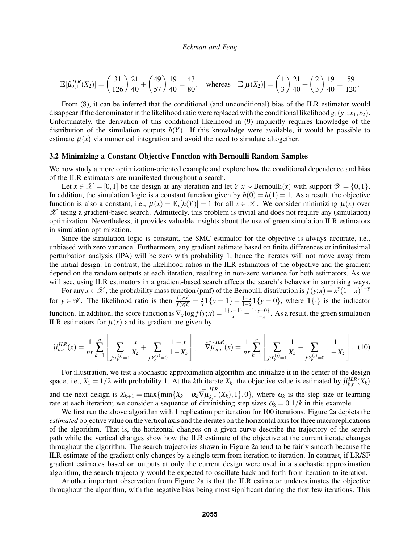$$
\mathbb{E}[\hat{\mu}_{2,1}^{ILR}(X_2)] = \left(\frac{31}{126}\right)\frac{21}{40} + \left(\frac{49}{57}\right)\frac{19}{40} = \frac{43}{80}, \quad \text{whereas} \quad \mathbb{E}[\mu(X_2)] = \left(\frac{1}{3}\right)\frac{21}{40} + \left(\frac{2}{3}\right)\frac{19}{40} = \frac{59}{120}.
$$

From (8), it can be inferred that the conditional (and unconditional) bias of the ILR estimator would disappear if the denominator in the likelihood ratio were replaced with the conditional likelihood  $g_1(y_1; x_1, x_2)$ . Unfortunately, the derivation of this conditional likelihood in (9) implicitly requires knowledge of the distribution of the simulation outputs  $h(Y)$ . If this knowledge were available, it would be possible to estimate  $\mu(x)$  via numerical integration and avoid the need to simulate altogether.

## 3.2 Minimizing a Constant Objective Function with Bernoulli Random Samples

We now study a more optimization-oriented example and explore how the conditional dependence and bias of the ILR estimators are manifested throughout a search.

Let  $x \in \mathcal{X} = [0,1]$  be the design at any iteration and let  $Y|x \sim \text{Bernoulli}(x)$  with support  $\mathcal{Y} = \{0,1\}.$ In addition, the simulation logic is a constant function given by  $h(0) = h(1) = 1$ . As a result, the objective function is also a constant, i.e.,  $\mu(x) = \mathbb{E}_x[h(Y)] = 1$  for all  $x \in \mathcal{X}$ . We consider minimizing  $\mu(x)$  over  $\mathscr X$  using a gradient-based search. Admittedly, this problem is trivial and does not require any (simulation) optimization. Nevertheless, it provides valuable insights about the use of green simulation ILR estimators in simulation optimization.

Since the simulation logic is constant, the SMC estimator for the objective is always accurate, i.e., unbiased with zero variance. Furthermore, any gradient estimate based on finite differences or infinitesimal perturbation analysis (IPA) will be zero with probability 1, hence the iterates will not move away from the initial design. In contrast, the likelihood ratios in the ILR estimators of the objective and the gradient depend on the random outputs at each iteration, resulting in non-zero variance for both estimators. As we will see, using ILR estimators in a gradient-based search affects the search's behavior in surprising ways.

For any  $x \in \mathcal{X}$ , the probability mass function (pmf) of the Bernoulli distribution is  $f(y; x) = x^y(1-x)^{1-y}$ for  $y \in \mathscr{Y}$ . The likelihood ratio is then  $\frac{f(y; x)}{f(y; \tilde{x})} = \frac{x}{\tilde{x}} \mathbf{1}\{y = 1\} + \frac{1-x}{1-\tilde{x}} \mathbf{1}\{y = 0\}$ , where  $\mathbf{1}\{\cdot\}$  is the indicator  $\overline{x}$ **1**  $y - 1$   $f$   $\overline{1-x}$ function. In addition, the score function is  $\nabla_x \log f(y; x) = \frac{1\{y=1\}}{x} - \frac{1\{y=0\}}{1-x}$  $\frac{y=y_1}{1-x}$ . As a result, the green simulation ILR estimators for  $\mu(x)$  and its gradient are given by

$$
\widehat{\mu}_{n,r}^{ILR}(x) = \frac{1}{nr} \sum_{k=1}^{n} \left[ \sum_{j:Y_k^{(j)}=1} \frac{x}{X_k} + \sum_{j:Y_k^{(j)}=0} \frac{1-x}{1-X_k} \right], \quad \widehat{\nabla\mu}_{n,r}^{ILR}(x) = \frac{1}{nr} \sum_{k=1}^{n} \left[ \sum_{j:Y_k^{(j)}=1} \frac{1}{X_k} - \sum_{j:Y_k^{(j)}=0} \frac{1}{1-X_k} \right]. \tag{10}
$$

For illustration, we test a stochastic approximation algorithm and initialize it in the center of the design space, i.e.,  $X_1 = 1/2$  with probability 1. At the *k*th iterate  $X_k$ , the objective value is estimated by  $\hat{\mu}_{k,r}^{ILR}(\hat{X_k})$ and the next design is  $X_{k+1} = \max\{\min\{X_k - \alpha_k\widehat{\nabla}\mu_{k,r}\}\}$  $\sum_{k,r}^{r} (X_k)$ , 1, 0, where  $\alpha_k$  is the step size or learning rate at each iteration; we consider a sequence of diminishing step sizes  $\alpha_k = 0.1/k$  in this example.

We first run the above algorithm with 1 replication per iteration for 100 iterations. Figure 2a depicts the *estimated* objective value on the vertical axis and the iterates on the horizontal axis for three macroreplications of the algorithm. That is, the horizontal changes on a given curve describe the trajectory of the search path while the vertical changes show how the ILR estimate of the objective at the current iterate changes throughout the algorithm. The search trajectories shown in Figure 2a tend to be fairly smooth because the ILR estimate of the gradient only changes by a single term from iteration to iteration. In contrast, if LR/SF gradient estimates based on outputs at only the current design were used in a stochastic approximation algorithm, the search trajectory would be expected to oscillate back and forth from iteration to iteration.

Another important observation from Figure 2a is that the ILR estimator underestimates the objective throughout the algorithm, with the negative bias being most significant during the first few iterations. This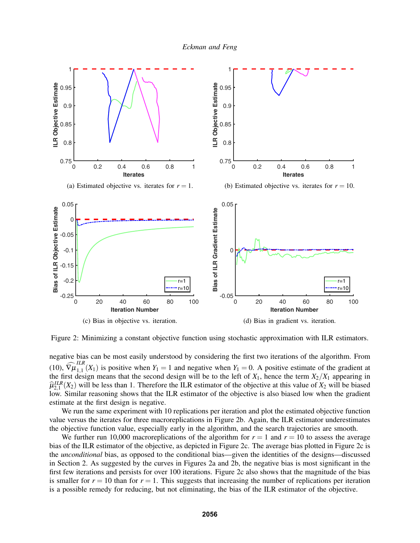



Figure 2: Minimizing a constant objective function using stochastic approximation with ILR estimators.

negative bias can be most easily understood by considering the first two iterations of the algorithm. From  $(10), \widehat{\nabla \mu}_{1,1}^{ILR}$  $\prod_{1,1}^{11}(X_1)$  is positive when  $Y_1 = 1$  and negative when  $Y_1 = 0$ . A positive estimate of the gradient at the first design means that the second design will be to the left of  $X_1$ , hence the term  $X_2/X_1$  appearing in  $\hat{\mu}_{2,1}^{ILR}(X_2)$  will be less than 1. Therefore the ILR estimator of the objective at this value of  $X_2$  will be biased<br>low, Similar reasoning shows that the ILR estimator of the objective is also biased low when the low. Similar reasoning shows that the ILR estimator of the objective is also biased low when the gradient estimate at the first design is negative.

We run the same experiment with 10 replications per iteration and plot the estimated objective function value versus the iterates for three macroreplications in Figure 2b. Again, the ILR estimator underestimates the objective function value, especially early in the algorithm, and the search trajectories are smooth.

We further run 10,000 macroreplications of the algorithm for  $r = 1$  and  $r = 10$  to assess the average bias of the ILR estimator of the objective, as depicted in Figure 2c. The average bias plotted in Figure 2c is the *unconditional* bias, as opposed to the conditional bias—given the identities of the designs—discussed in Section 2. As suggested by the curves in Figures 2a and 2b, the negative bias is most significant in the first few iterations and persists for over 100 iterations. Figure 2c also shows that the magnitude of the bias is smaller for  $r = 10$  than for  $r = 1$ . This suggests that increasing the number of replications per iteration is a possible remedy for reducing, but not eliminating, the bias of the ILR estimator of the objective.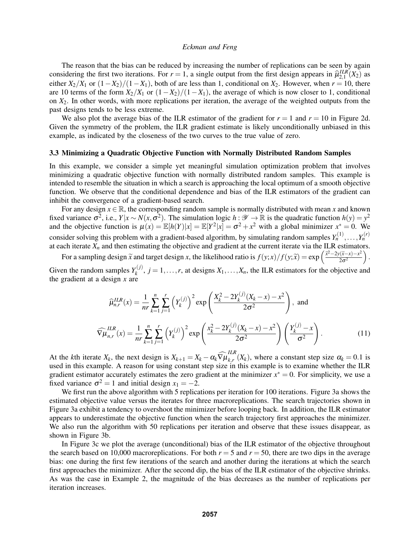The reason that the bias can be reduced by increasing the number of replications can be seen by again considering the first two iterations. For  $r = 1$ , a single output from the first design appears in  $\hat{\mu}_{2,1}^{ILR}(X_2)$  as either  $X_2/X_1$  or  $(1-X_2)/(1-X_1)$ , both of are less than 1, conditional on  $X_2$ . However, when  $r = 10$ , there are 10 terms of the form  $X_2/X_1$  or  $(1-X_2)/(1-X_1)$ , the average of which is now closer to 1, conditional on *X*2. In other words, with more replications per iteration, the average of the weighted outputs from the past designs tends to be less extreme.

We also plot the average bias of the ILR estimator of the gradient for  $r = 1$  and  $r = 10$  in Figure 2d. Given the symmetry of the problem, the ILR gradient estimate is likely unconditionally unbiased in this example, as indicated by the closeness of the two curves to the true value of zero.

#### 3.3 Minimizing a Quadratic Objective Function with Normally Distributed Random Samples

In this example, we consider a simple yet meaningful simulation optimization problem that involves minimizing a quadratic objective function with normally distributed random samples. This example is intended to resemble the situation in which a search is approaching the local optimum of a smooth objective function. We observe that the conditional dependence and bias of the ILR estimators of the gradient can inhibit the convergence of a gradient-based search.

For any design  $x \in \mathbb{R}$ , the corresponding random sample is normally distributed with mean x and known fixed variance  $\sigma^2$ , i.e.,  $Y|x \sim N(x, \sigma^2)$ . The simulation logic  $h: \mathscr{Y} \to \mathbb{R}$  is the quadratic function  $h(y) = y^2$ and the objective function is  $\mu(x) = \mathbb{E}[h(Y)|x] = \mathbb{E}[Y^2|x] = \sigma^2 + x^2$  with a global minimizer  $x^* = 0$ . We consider solving this problem with a gradient-based algorithm, by simulating random samples  $Y_n^{(1)}, \ldots, Y_n^{(r)}$ at each iterate  $X_n$  and then estimating the objective and gradient at the current iterate via the ILR estimators.

For a sampling design  $\tilde{x}$  and target design *x*, the likelihood ratio is  $f(y; x)/f(y; \tilde{x}) = \exp\left(\frac{\tilde{x}^2 - 2y(\tilde{x} - x) - x^2}{2\sigma^2}\right)$  $2\sigma^2$  $\big).$ Given the random samples  $Y_k^{(j)}$  $X_k^{(J)}$ ,  $j = 1, \ldots, r$ , at designs  $X_1, \ldots, X_n$ , the ILR estimators for the objective and the gradient at a design *x* are

$$
\widehat{\mu}_{n,r}^{ILR}(x) = \frac{1}{nr} \sum_{k=1}^{n} \sum_{j=1}^{r} \left(Y_k^{(j)}\right)^2 \exp\left(\frac{X_k^2 - 2Y_k^{(j)}(X_k - x) - x^2}{2\sigma^2}\right), \text{ and}
$$

$$
\widehat{\nabla\mu}_{n,r}^{ILR}(x) = \frac{1}{nr} \sum_{k=1}^{n} \sum_{j=1}^{r} \left(Y_k^{(j)}\right)^2 \exp\left(\frac{x_k^2 - 2Y_k^{(j)}(X_k - x) - x^2}{2\sigma^2}\right) \left(\frac{Y_k^{(j)} - x}{\sigma^2}\right).
$$
(11)

At the *k*th iterate  $X_k$ , the next design is  $X_{k+1} = X_k - \alpha_k \widehat{\nabla} \mu_{k,r}^{ILR}$  $\sum_{k,r}^{n}(X_k)$ , where a constant step size  $\alpha_k = 0.1$  is used in this example. A reason for using constant step size in this example is to examine whether the ILR gradient estimator accurately estimates the zero gradient at the minimizer  $x^* = 0$ . For simplicity, we use a fixed variance  $\sigma^2 = 1$  and initial design  $x_1 = -2$ .

We first run the above algorithm with 5 replications per iteration for 100 iterations. Figure 3a shows the estimated objective value versus the iterates for three macroreplications. The search trajectories shown in Figure 3a exhibit a tendency to overshoot the minimizer before looping back. In addition, the ILR estimator appears to underestimate the objective function when the search trajectory first approaches the minimizer. We also run the algorithm with 50 replications per iteration and observe that these issues disappear, as shown in Figure 3b.

In Figure 3c we plot the average (unconditional) bias of the ILR estimator of the objective throughout the search based on 10,000 macroreplications. For both  $r = 5$  and  $r = 50$ , there are two dips in the average bias: one during the first few iterations of the search and another during the iterations at which the search first approaches the minimizer. After the second dip, the bias of the ILR estimator of the objective shrinks. As was the case in Example 2, the magnitude of the bias decreases as the number of replications per iteration increases.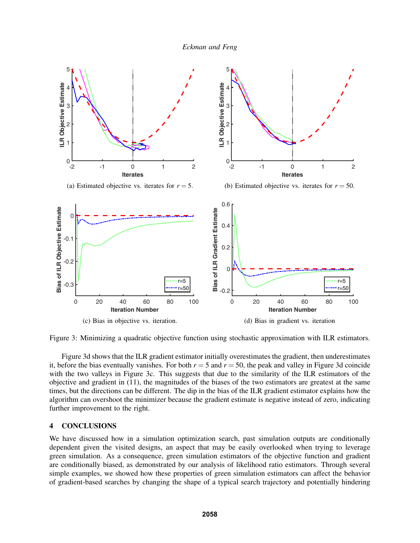

Figure 3: Minimizing a quadratic objective function using stochastic approximation with ILR estimators.

Figure 3d shows that the ILR gradient estimator initially overestimates the gradient, then underestimates it, before the bias eventually vanishes. For both  $r = 5$  and  $r = 50$ , the peak and valley in Figure 3d coincide with the two valleys in Figure 3c. This suggests that due to the similarity of the ILR estimators of the objective and gradient in (11), the magnitudes of the biases of the two estimators are greatest at the same times, but the directions can be different. The dip in the bias of the ILR gradient estimator explains how the algorithm can overshoot the minimizer because the gradient estimate is negative instead of zero, indicating further improvement to the right.

# 4 CONCLUSIONS

We have discussed how in a simulation optimization search, past simulation outputs are conditionally dependent given the visited designs, an aspect that may be easily overlooked when trying to leverage green simulation. As a consequence, green simulation estimators of the objective function and gradient are conditionally biased, as demonstrated by our analysis of likelihood ratio estimators. Through several simple examples, we showed how these properties of green simulation estimators can affect the behavior of gradient-based searches by changing the shape of a typical search trajectory and potentially hindering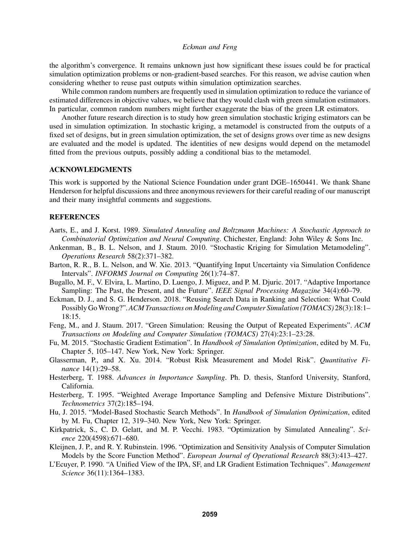the algorithm's convergence. It remains unknown just how significant these issues could be for practical simulation optimization problems or non-gradient-based searches. For this reason, we advise caution when considering whether to reuse past outputs within simulation optimization searches.

While common random numbers are frequently used in simulation optimization to reduce the variance of estimated differences in objective values, we believe that they would clash with green simulation estimators. In particular, common random numbers might further exaggerate the bias of the green LR estimators.

Another future research direction is to study how green simulation stochastic kriging estimators can be used in simulation optimization. In stochastic kriging, a metamodel is constructed from the outputs of a fixed set of designs, but in green simulation optimization, the set of designs grows over time as new designs are evaluated and the model is updated. The identities of new designs would depend on the metamodel fitted from the previous outputs, possibly adding a conditional bias to the metamodel.

## ACKNOWLEDGMENTS

This work is supported by the National Science Foundation under grant DGE–1650441. We thank Shane Henderson for helpful discussions and three anonymous reviewers for their careful reading of our manuscript and their many insightful comments and suggestions.

### **REFERENCES**

- Aarts, E., and J. Korst. 1989. *Simulated Annealing and Boltzmann Machines: A Stochastic Approach to Combinatorial Optimization and Neural Computing*. Chichester, England: John Wiley & Sons Inc.
- Ankenman, B., B. L. Nelson, and J. Staum. 2010. "Stochastic Kriging for Simulation Metamodeling". *Operations Research* 58(2):371–382.
- Barton, R. R., B. L. Nelson, and W. Xie. 2013. "Quantifying Input Uncertainty via Simulation Confidence Intervals". *INFORMS Journal on Computing* 26(1):74–87.
- Bugallo, M. F., V. Elvira, L. Martino, D. Luengo, J. Miguez, and P. M. Djuric. 2017. "Adaptive Importance Sampling: The Past, the Present, and the Future". *IEEE Signal Processing Magazine* 34(4):60–79.
- Eckman, D. J., and S. G. Henderson. 2018. "Reusing Search Data in Ranking and Selection: What Could Possibly GoWrong?".*ACM Transactions on Modeling and Computer Simulation (TOMACS)* 28(3):18:1– 18:15.
- Feng, M., and J. Staum. 2017. "Green Simulation: Reusing the Output of Repeated Experiments". *ACM Transactions on Modeling and Computer Simulation (TOMACS)* 27(4):23:1–23:28.
- Fu, M. 2015. "Stochastic Gradient Estimation". In *Handbook of Simulation Optimization*, edited by M. Fu, Chapter 5, 105–147. New York, New York: Springer.
- Glasserman, P., and X. Xu. 2014. "Robust Risk Measurement and Model Risk". *Quantitative Finance* 14(1):29–58.
- Hesterberg, T. 1988. *Advances in Importance Sampling*. Ph. D. thesis, Stanford University, Stanford, California.
- Hesterberg, T. 1995. "Weighted Average Importance Sampling and Defensive Mixture Distributions". *Technometrics* 37(2):185–194.
- Hu, J. 2015. "Model-Based Stochastic Search Methods". In *Handbook of Simulation Optimization*, edited by M. Fu, Chapter 12, 319–340. New York, New York: Springer.
- Kirkpatrick, S., C. D. Gelatt, and M. P. Vecchi. 1983. "Optimization by Simulated Annealing". *Science* 220(4598):671–680.
- Kleijnen, J. P., and R. Y. Rubinstein. 1996. "Optimization and Sensitivity Analysis of Computer Simulation Models by the Score Function Method". *European Journal of Operational Research* 88(3):413–427.
- L'Ecuyer, P. 1990. "A Unified View of the IPA, SF, and LR Gradient Estimation Techniques". *Management Science* 36(11):1364–1383.